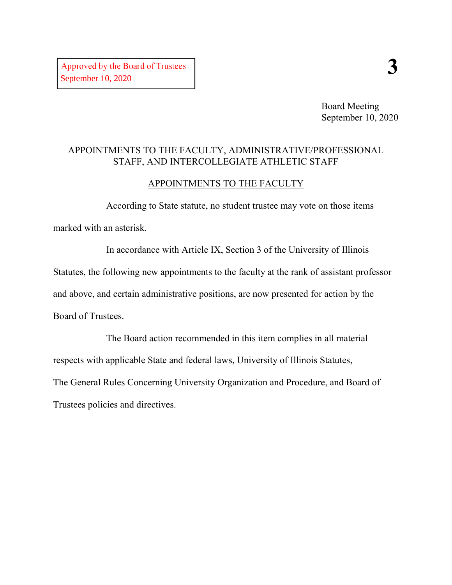Board Meeting September 10, 2020

### APPOINTMENTS TO THE FACULTY, ADMINISTRATIVE/PROFESSIONAL STAFF, AND INTERCOLLEGIATE ATHLETIC STAFF

#### APPOINTMENTS TO THE FACULTY

According to State statute, no student trustee may vote on those items marked with an asterisk.

In accordance with Article IX, Section 3 of the University of Illinois Statutes, the following new appointments to the faculty at the rank of assistant professor and above, and certain administrative positions, are now presented for action by the Board of Trustees.

The Board action recommended in this item complies in all material respects with applicable State and federal laws, University of Illinois Statutes, The General Rules Concerning University Organization and Procedure, and Board of Trustees policies and directives.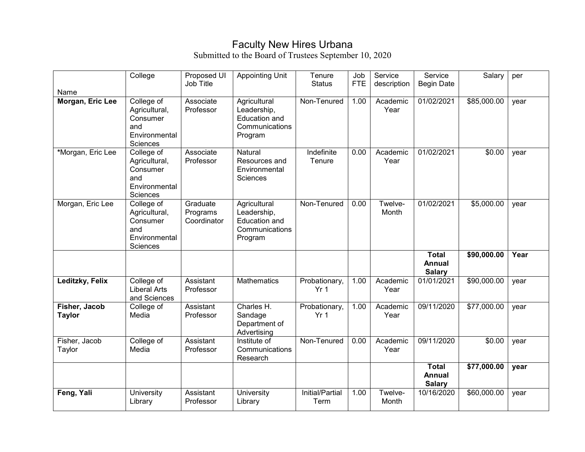## Faculty New Hires Urbana

Submitted to the Board of Trustees September 10, 2020

| Name                           | College                                                                     | Proposed UI<br>Job Title            | <b>Appointing Unit</b>                                                           | Tenure<br><b>Status</b>          | Job<br><b>FTE</b> | Service<br>description | Service<br><b>Begin Date</b>                   | Salary      | per  |
|--------------------------------|-----------------------------------------------------------------------------|-------------------------------------|----------------------------------------------------------------------------------|----------------------------------|-------------------|------------------------|------------------------------------------------|-------------|------|
| Morgan, Eric Lee               | College of<br>Agricultural,<br>Consumer<br>and<br>Environmental<br>Sciences | Associate<br>Professor              | Agricultural<br>Leadership,<br>Education and<br>Communications<br>Program        | Non-Tenured                      | 1.00              | Academic<br>Year       | 01/02/2021                                     | \$85,000.00 | year |
| *Morgan, Eric Lee              | College of<br>Agricultural,<br>Consumer<br>and<br>Environmental<br>Sciences | Associate<br>Professor              | Natural<br>Resources and<br>Environmental<br>Sciences                            | Indefinite<br>Tenure             | 0.00              | Academic<br>Year       | 01/02/2021                                     | \$0.00      | year |
| Morgan, Eric Lee               | College of<br>Agricultural,<br>Consumer<br>and<br>Environmental<br>Sciences | Graduate<br>Programs<br>Coordinator | Agricultural<br>Leadership,<br><b>Education and</b><br>Communications<br>Program | Non-Tenured                      | 0.00              | Twelve-<br>Month       | 01/02/2021                                     | \$5,000.00  | year |
|                                |                                                                             |                                     |                                                                                  |                                  |                   |                        | <b>Total</b><br><b>Annual</b><br><b>Salary</b> | \$90,000.00 | Year |
| Leditzky, Felix                | College of<br><b>Liberal Arts</b><br>and Sciences                           | Assistant<br>Professor              | <b>Mathematics</b>                                                               | Probationary,<br>Yr <sub>1</sub> | 1.00              | Academic<br>Year       | 01/01/2021                                     | \$90,000.00 | year |
| Fisher, Jacob<br><b>Taylor</b> | College of<br>Media                                                         | Assistant<br>Professor              | Charles H.<br>Sandage<br>Department of<br>Advertising                            | Probationary,<br>Yr <sub>1</sub> | 1.00              | Academic<br>Year       | 09/11/2020                                     | \$77,000.00 | year |
| Fisher, Jacob<br>Taylor        | College of<br>Media                                                         | Assistant<br>Professor              | Institute of<br>Communications<br>Research                                       | Non-Tenured                      | 0.00              | Academic<br>Year       | 09/11/2020                                     | \$0.00      | year |
|                                |                                                                             |                                     |                                                                                  |                                  |                   |                        | <b>Total</b><br><b>Annual</b><br><b>Salary</b> | \$77,000.00 | year |
| Feng, Yali                     | University<br>Library                                                       | Assistant<br>Professor              | <b>University</b><br>Library                                                     | <b>Initial/Partial</b><br>Term   | 1.00              | Twelve-<br>Month       | 10/16/2020                                     | \$60,000.00 | year |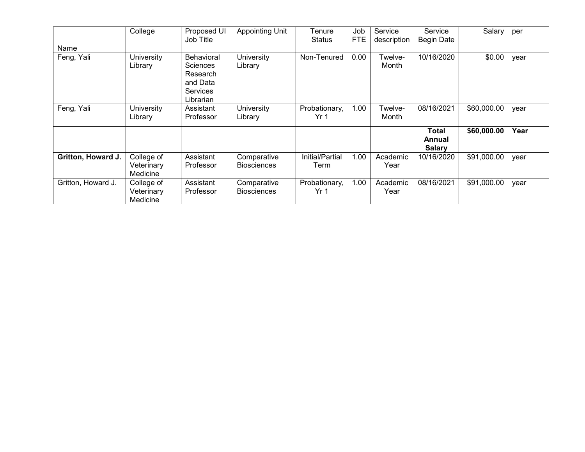|                    | College                              | Proposed UI<br>Job Title                                                              | Appointing Unit                   | Tenure<br><b>Status</b>          | Job<br><b>FTE</b> | Service<br>description | Service<br>Begin Date            | Salary      | per  |
|--------------------|--------------------------------------|---------------------------------------------------------------------------------------|-----------------------------------|----------------------------------|-------------------|------------------------|----------------------------------|-------------|------|
| Name               |                                      |                                                                                       |                                   |                                  |                   |                        |                                  |             |      |
| Feng, Yali         | <b>University</b><br>Library         | <b>Behavioral</b><br>Sciences<br>Research<br>and Data<br><b>Services</b><br>Librarian | University<br>Library             | Non-Tenured                      | 0.00              | Twelve-<br>Month       | 10/16/2020                       | \$0.00      | year |
| Feng, Yali         | University<br>Library                | Assistant<br>Professor                                                                | University<br>Library             | Probationary,<br>Yr <sub>1</sub> | 1.00              | Twelve-<br>Month       | 08/16/2021                       | \$60,000.00 | year |
|                    |                                      |                                                                                       |                                   |                                  |                   |                        | Total<br>Annual<br><b>Salary</b> | \$60,000.00 | Year |
| Gritton, Howard J. | College of<br>Veterinary<br>Medicine | Assistant<br>Professor                                                                | Comparative<br><b>Biosciences</b> | Initial/Partial<br>Term          | 1.00              | Academic<br>Year       | 10/16/2020                       | \$91,000.00 | year |
| Gritton, Howard J. | College of<br>Veterinary<br>Medicine | Assistant<br>Professor                                                                | Comparative<br><b>Biosciences</b> | Probationary,<br>Yr <sub>1</sub> | 1.00              | Academic<br>Year       | 08/16/2021                       | \$91,000.00 | year |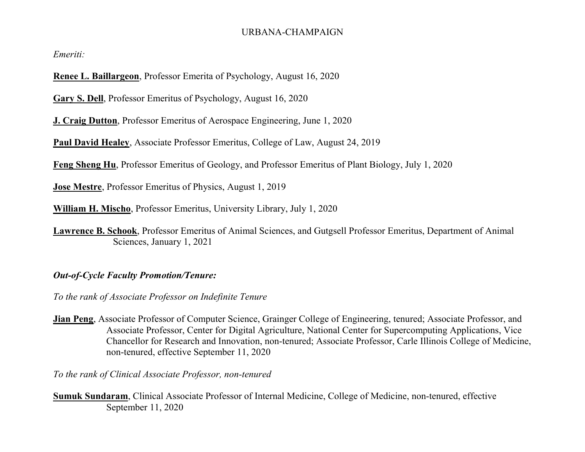#### URBANA-CHAMPAIGN

*Emeriti:*

**Renee L. Baillargeon**, Professor Emerita of Psychology, August 16, 2020

**Gary S. Dell**, Professor Emeritus of Psychology, August 16, 2020

**J. Craig Dutton**, Professor Emeritus of Aerospace Engineering, June 1, 2020

**Paul David Healey**, Associate Professor Emeritus, College of Law, August 24, 2019

**Feng Sheng Hu**, Professor Emeritus of Geology, and Professor Emeritus of Plant Biology, July 1, 2020

**Jose Mestre**, Professor Emeritus of Physics, August 1, 2019

**William H. Mischo**, Professor Emeritus, University Library, July 1, 2020

**Lawrence B. Schook**, Professor Emeritus of Animal Sciences, and Gutgsell Professor Emeritus, Department of Animal Sciences, January 1, 2021

### *Out-of-Cycle Faculty Promotion/Tenure:*

*To the rank of Associate Professor on Indefinite Tenure*

**Jian Peng**, Associate Professor of Computer Science, Grainger College of Engineering, tenured; Associate Professor, and Associate Professor, Center for Digital Agriculture, National Center for Supercomputing Applications, Vice Chancellor for Research and Innovation, non-tenured; Associate Professor, Carle Illinois College of Medicine, non-tenured, effective September 11, 2020

*To the rank of Clinical Associate Professor, non-tenured*

**Sumuk Sundaram**, Clinical Associate Professor of Internal Medicine, College of Medicine, non-tenured, effective September 11, 2020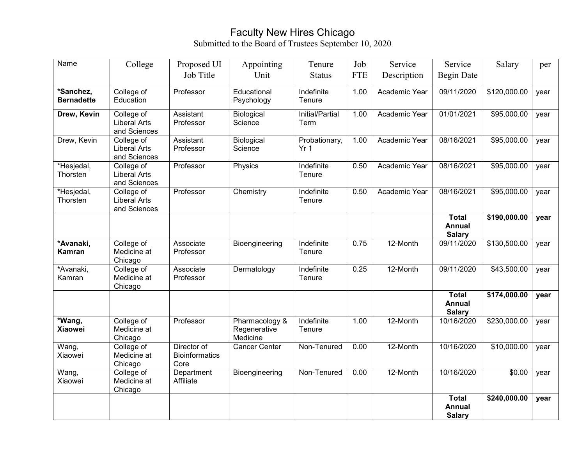### Faculty New Hires Chicago Submitted to the Board of Trustees September 10, 2020

| Name                           | College                                           | Proposed UI                                  | Appointing                                 | Tenure                           | Job        | Service       | Service                                        | Salary                   | per  |
|--------------------------------|---------------------------------------------------|----------------------------------------------|--------------------------------------------|----------------------------------|------------|---------------|------------------------------------------------|--------------------------|------|
|                                |                                                   | Job Title                                    | Unit                                       | <b>Status</b>                    | <b>FTE</b> | Description   | <b>Begin Date</b>                              |                          |      |
| *Sanchez,<br><b>Bernadette</b> | College of<br>Education                           | Professor                                    | Educational<br>Psychology                  | Indefinite<br>Tenure             | 1.00       | Academic Year | 09/11/2020                                     | $\overline{$}120,000.00$ | year |
| Drew, Kevin                    | College of<br><b>Liberal Arts</b><br>and Sciences | Assistant<br>Professor                       | Biological<br>Science                      | Initial/Partial<br>Term          | 1.00       | Academic Year | 01/01/2021                                     | \$95,000.00              | year |
| Drew, Kevin                    | College of<br><b>Liberal Arts</b><br>and Sciences | Assistant<br>Professor                       | Biological<br>Science                      | Probationary,<br>Yr <sub>1</sub> | 1.00       | Academic Year | 08/16/2021                                     | \$95,000.00              | year |
| *Hesjedal,<br>Thorsten         | College of<br><b>Liberal Arts</b><br>and Sciences | Professor                                    | Physics                                    | Indefinite<br>Tenure             | 0.50       | Academic Year | 08/16/2021                                     | \$95,000.00              | year |
| *Hesjedal,<br>Thorsten         | College of<br><b>Liberal Arts</b><br>and Sciences | Professor                                    | Chemistry                                  | Indefinite<br>Tenure             | 0.50       | Academic Year | 08/16/2021                                     | \$95,000.00              | year |
|                                |                                                   |                                              |                                            |                                  |            |               | <b>Total</b><br><b>Annual</b><br><b>Salary</b> | \$190,000.00             | year |
| *Avanaki,<br>Kamran            | College of<br>Medicine at<br>Chicago              | Associate<br>Professor                       | Bioengineering                             | Indefinite<br>Tenure             | 0.75       | 12-Month      | 09/11/2020                                     | \$130,500.00             | year |
| *Avanaki,<br>Kamran            | College of<br>Medicine at<br>Chicago              | Associate<br>Professor                       | Dermatology                                | Indefinite<br>Tenure             | 0.25       | 12-Month      | 09/11/2020                                     | \$43,500.00              | year |
|                                |                                                   |                                              |                                            |                                  |            |               | <b>Total</b><br><b>Annual</b><br><b>Salary</b> | \$174,000.00             | year |
| *Wang,<br><b>Xiaowei</b>       | College of<br>Medicine at<br>Chicago              | Professor                                    | Pharmacology &<br>Regenerative<br>Medicine | Indefinite<br>Tenure             | 1.00       | 12-Month      | 10/16/2020                                     | \$230,000.00             | year |
| Wang,<br>Xiaowei               | College of<br>Medicine at<br>Chicago              | Director of<br><b>Bioinformatics</b><br>Core | <b>Cancer Center</b>                       | Non-Tenured                      | 0.00       | 12-Month      | 10/16/2020                                     | \$10,000.00              | year |
| Wang,<br>Xiaowei               | College of<br>Medicine at<br>Chicago              | Department<br>Affiliate                      | Bioengineering                             | Non-Tenured                      | 0.00       | 12-Month      | 10/16/2020                                     | \$0.00                   | year |
|                                |                                                   |                                              |                                            |                                  |            |               | <b>Total</b><br><b>Annual</b><br><b>Salary</b> | \$240,000.00             | year |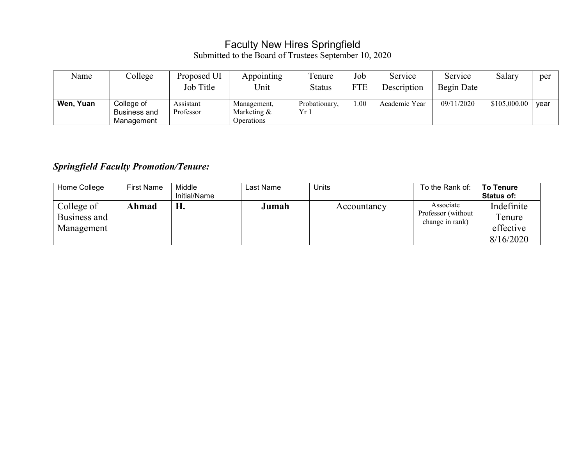## Faculty New Hires Springfield

Submitted to the Board of Trustees September 10, 2020

| Name      | College                                  | Proposed UI<br>Job Title | Appointing<br>Unit                          | l'enure<br><b>Status</b> | Job<br><b>FTE</b> | Service<br>Description | Service<br>Begin Date | Salary       | per  |
|-----------|------------------------------------------|--------------------------|---------------------------------------------|--------------------------|-------------------|------------------------|-----------------------|--------------|------|
| Wen, Yuan | College of<br>Business and<br>Management | Assistant<br>Professor   | Management,<br>Marketing $\&$<br>Operations | Probationary.<br>$Yr_1$  | 00.1              | Academic Year          | 09/11/2020            | \$105,000.00 | year |

# *Springfield Faculty Promotion/Tenure:*

| Home College                             | <b>First Name</b> | Middle<br>Initial/Name | Last Name | Units       | To the Rank of:                                    | <b>To Tenure</b><br><b>Status of:</b>          |
|------------------------------------------|-------------------|------------------------|-----------|-------------|----------------------------------------------------|------------------------------------------------|
| College of<br>Business and<br>Management | Ahmad             | Н.                     | Jumah     | Accountancy | Associate<br>Professor (without<br>change in rank) | Indefinite<br>Tenure<br>effective<br>8/16/2020 |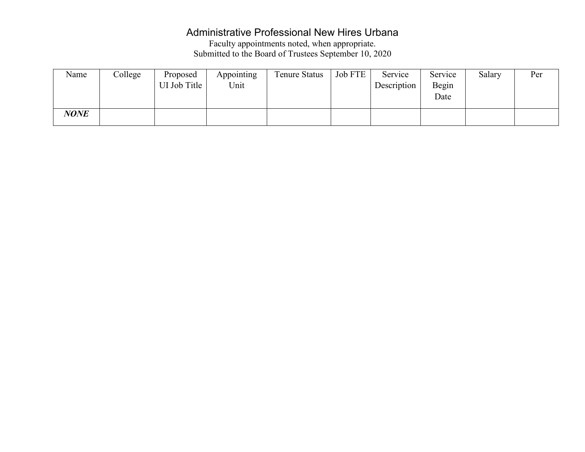# Administrative Professional New Hires Urbana

Faculty appointments noted, when appropriate. Submitted to the Board of Trustees September 10, 2020

| Name        | College | Proposed<br>UI Job Title | Appointing<br>Unit | Tenure Status | Job FTE $ $ | Service<br>Description | Service<br>Begin<br>Date | Salary | Per |
|-------------|---------|--------------------------|--------------------|---------------|-------------|------------------------|--------------------------|--------|-----|
| <b>NONE</b> |         |                          |                    |               |             |                        |                          |        |     |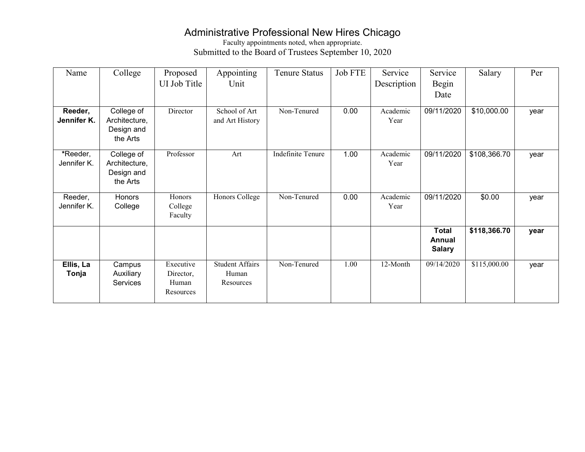# Administrative Professional New Hires Chicago

Faculty appointments noted, when appropriate. Submitted to the Board of Trustees September 10, 2020

| Name        | College       | Proposed     | Appointing             | <b>Tenure Status</b>     | Job FTE | Service     | Service       | Salary       | Per  |
|-------------|---------------|--------------|------------------------|--------------------------|---------|-------------|---------------|--------------|------|
|             |               | UI Job Title | Unit                   |                          |         | Description | Begin         |              |      |
|             |               |              |                        |                          |         |             | Date          |              |      |
|             |               |              |                        |                          |         |             |               |              |      |
| Reeder,     | College of    | Director     | School of Art          | Non-Tenured              | 0.00    | Academic    | 09/11/2020    | \$10,000.00  | year |
| Jennifer K. | Architecture, |              | and Art History        |                          |         | Year        |               |              |      |
|             | Design and    |              |                        |                          |         |             |               |              |      |
|             | the Arts      |              |                        |                          |         |             |               |              |      |
|             |               |              |                        |                          |         |             |               |              |      |
| *Reeder,    | College of    | Professor    | Art                    | <b>Indefinite Tenure</b> | 1.00    | Academic    | 09/11/2020    | \$108,366.70 | year |
| Jennifer K. | Architecture, |              |                        |                          |         | Year        |               |              |      |
|             | Design and    |              |                        |                          |         |             |               |              |      |
|             | the Arts      |              |                        |                          |         |             |               |              |      |
|             |               |              |                        |                          |         |             |               |              |      |
| Reeder,     | <b>Honors</b> | Honors       | Honors College         | Non-Tenured              | 0.00    | Academic    | 09/11/2020    | \$0.00       | year |
| Jennifer K. | College       | College      |                        |                          |         | Year        |               |              |      |
|             |               | Faculty      |                        |                          |         |             |               |              |      |
|             |               |              |                        |                          |         |             |               |              |      |
|             |               |              |                        |                          |         |             | <b>Total</b>  | \$118,366.70 | year |
|             |               |              |                        |                          |         |             | Annual        |              |      |
|             |               |              |                        |                          |         |             | <b>Salary</b> |              |      |
| Ellis, La   | Campus        | Executive    | <b>Student Affairs</b> | Non-Tenured              | 1.00    | 12-Month    | 09/14/2020    | \$115,000.00 |      |
|             |               |              | Human                  |                          |         |             |               |              | year |
| Tonja       | Auxiliary     | Director,    |                        |                          |         |             |               |              |      |
|             | Services      | Human        | Resources              |                          |         |             |               |              |      |
|             |               | Resources    |                        |                          |         |             |               |              |      |
|             |               |              |                        |                          |         |             |               |              |      |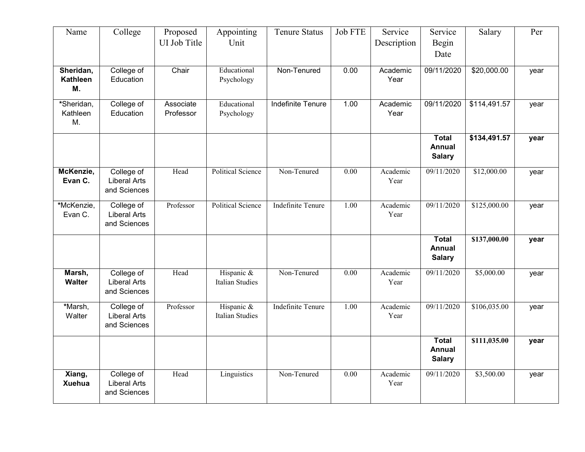| Name                         | College                                           | Proposed               | Appointing                           | <b>Tenure Status</b>     | <b>Job FTE</b>    | Service          | Service                                        | Salary       | Per  |
|------------------------------|---------------------------------------------------|------------------------|--------------------------------------|--------------------------|-------------------|------------------|------------------------------------------------|--------------|------|
|                              |                                                   | UI Job Title           | Unit                                 |                          |                   | Description      | Begin<br>Date                                  |              |      |
| Sheridan,<br>Kathleen<br>M.  | College of<br>Education                           | Chair                  | Educational<br>Psychology            | Non-Tenured              | 0.00              | Academic<br>Year | 09/11/2020                                     | \$20,000.00  | year |
| *Sheridan,<br>Kathleen<br>M. | College of<br>Education                           | Associate<br>Professor | Educational<br>Psychology            | Indefinite Tenure        | 1.00              | Academic<br>Year | 09/11/2020                                     | \$114,491.57 | year |
|                              |                                                   |                        |                                      |                          |                   |                  | <b>Total</b><br><b>Annual</b><br><b>Salary</b> | \$134,491.57 | year |
| McKenzie,<br>Evan C.         | College of<br><b>Liberal Arts</b><br>and Sciences | Head                   | <b>Political Science</b>             | Non-Tenured              | $\overline{0.00}$ | Academic<br>Year | 09/11/2020                                     | \$12,000.00  | year |
| *McKenzie,<br>Evan C.        | College of<br><b>Liberal Arts</b><br>and Sciences | Professor              | <b>Political Science</b>             | <b>Indefinite Tenure</b> | 1.00              | Academic<br>Year | 09/11/2020                                     | \$125,000.00 | year |
|                              |                                                   |                        |                                      |                          |                   |                  | Total<br><b>Annual</b><br><b>Salary</b>        | \$137,000.00 | year |
| Marsh,<br><b>Walter</b>      | College of<br><b>Liberal Arts</b><br>and Sciences | Head                   | Hispanic &<br><b>Italian Studies</b> | Non-Tenured              | $0.00\,$          | Academic<br>Year | $\overline{09}/11/2020$                        | \$5,000.00   | year |
| *Marsh,<br>Walter            | College of<br><b>Liberal Arts</b><br>and Sciences | Professor              | Hispanic &<br><b>Italian Studies</b> | <b>Indefinite Tenure</b> | $\overline{1.00}$ | Academic<br>Year | 09/11/2020                                     | \$106,035.00 | year |
|                              |                                                   |                        |                                      |                          |                   |                  | <b>Total</b><br><b>Annual</b><br><b>Salary</b> | \$111,035.00 | year |
| Xiang,<br><b>Xuehua</b>      | College of<br><b>Liberal Arts</b><br>and Sciences | Head                   | Linguistics                          | Non-Tenured              | 0.00              | Academic<br>Year | 09/11/2020                                     | \$3,500.00   | year |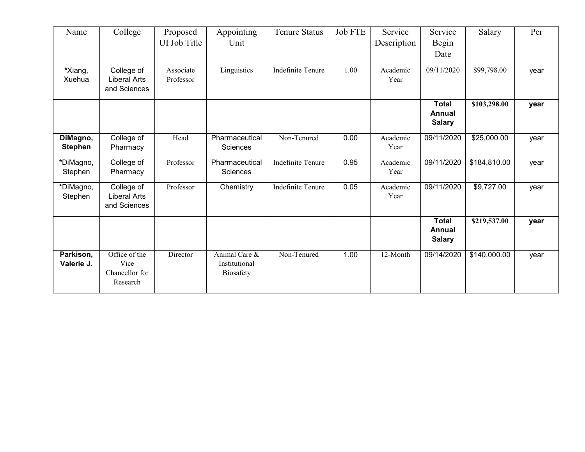| Name                       | College                                             | Proposed               | Appointing                                         | <b>Tenure Status</b>     | <b>Job FTE</b> | Service          | Service                                 | Salary       | Per  |
|----------------------------|-----------------------------------------------------|------------------------|----------------------------------------------------|--------------------------|----------------|------------------|-----------------------------------------|--------------|------|
|                            |                                                     | UI Job Title           | Unit                                               |                          |                | Description      | Begin                                   |              |      |
|                            |                                                     |                        |                                                    |                          |                |                  | Date                                    |              |      |
| *Xiang,<br>Xuehua          | College of<br><b>Liberal Arts</b><br>and Sciences   | Associate<br>Professor | Linguistics                                        | Indefinite Tenure        | 1.00           | Academic<br>Year | 09/11/2020                              | \$99,798.00  | year |
|                            |                                                     |                        |                                                    |                          |                |                  | <b>Total</b><br>Annual<br><b>Salary</b> | \$103,298.00 | year |
| DiMagno,<br><b>Stephen</b> | College of<br>Pharmacy                              | Head                   | Pharmaceutical<br>Sciences                         | Non-Tenured              | 0.00           | Academic<br>Year | 09/11/2020                              | \$25,000.00  | year |
| *DiMagno,<br>Stephen       | College of<br>Pharmacy                              | Professor              | Pharmaceutical<br><b>Sciences</b>                  | <b>Indefinite Tenure</b> | 0.95           | Academic<br>Year | 09/11/2020                              | \$184,810.00 | year |
| *DiMagno,<br>Stephen       | College of<br><b>Liberal Arts</b><br>and Sciences   | Professor              | Chemistry                                          | <b>Indefinite Tenure</b> | 0.05           | Academic<br>Year | 09/11/2020                              | \$9,727.00   | year |
|                            |                                                     |                        |                                                    |                          |                |                  | <b>Total</b><br>Annual<br><b>Salary</b> | \$219,537.00 | year |
| Parkison,<br>Valerie J.    | Office of the<br>Vice<br>Chancellor for<br>Research | Director               | Animal Care &<br>Institutional<br><b>Biosafety</b> | Non-Tenured              | 1.00           | 12-Month         | 09/14/2020                              | \$140,000.00 | year |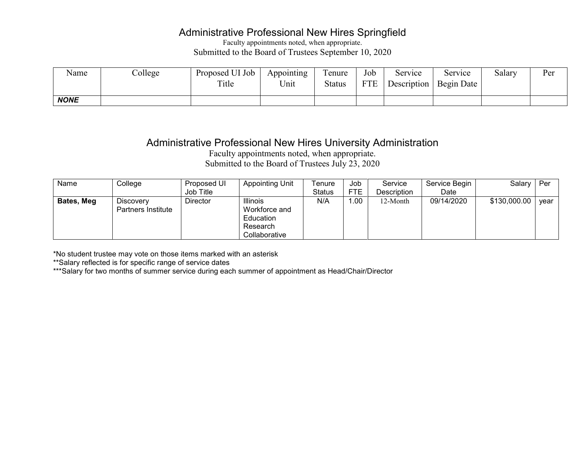### Administrative Professional New Hires Springfield

Faculty appointments noted, when appropriate. Submitted to the Board of Trustees September 10, 2020

| Name        | $\degree$ College | Proposed UI Job<br>Title | Appointing<br>Unit | l'enure<br><b>Status</b> | Job<br><b>FTE</b> | Service<br>Description | Service<br>Begin Date | Salary | Per |
|-------------|-------------------|--------------------------|--------------------|--------------------------|-------------------|------------------------|-----------------------|--------|-----|
| <b>NONE</b> |                   |                          |                    |                          |                   |                        |                       |        |     |

### Administrative Professional New Hires University Administration

Faculty appointments noted, when appropriate. Submitted to the Board of Trustees July 23, 2020

| Name       | College                                | Proposed UI | <b>Appointing Unit</b>                                                     | Гenure | Job        | Service     | Service Begin | Salary       | Per  |
|------------|----------------------------------------|-------------|----------------------------------------------------------------------------|--------|------------|-------------|---------------|--------------|------|
|            |                                        | Job Title   |                                                                            | Status | <b>FTE</b> | Description | Date          |              |      |
| Bates, Meg | Discovery<br><b>Partners Institute</b> | Director    | <b>Illinois</b><br>Workforce and<br>Education<br>Research<br>Collaborative | N/A    | 1.00       | 12-Month    | 09/14/2020    | \$130,000.00 | vear |

\*No student trustee may vote on those items marked with an asterisk

\*\*Salary reflected is for specific range of service dates

\*\*\*Salary for two months of summer service during each summer of appointment as Head/Chair/Director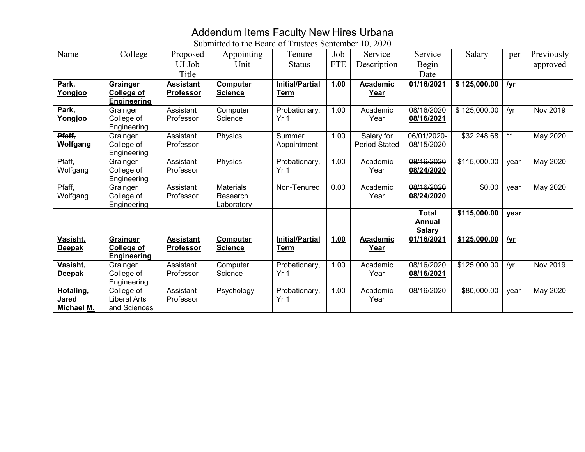## Addendum Items Faculty New Hires Urbana

Submitted to the Board of Trustees September 10, 2020

| Name          | College             |                  |                  | Tenure                 | Job        | Service              | Service       | Salary       |                | Previously |
|---------------|---------------------|------------------|------------------|------------------------|------------|----------------------|---------------|--------------|----------------|------------|
|               |                     | Proposed         | Appointing       |                        |            |                      |               |              | per            |            |
|               |                     | UI Job           | Unit             | <b>Status</b>          | <b>FTE</b> | Description          | Begin         |              |                | approved   |
|               |                     | Title            |                  |                        |            |                      | Date          |              |                |            |
| Park,         | Grainger            | <b>Assistant</b> | Computer         | <b>Initial/Partial</b> | 1.00       | <b>Academic</b>      | 01/16/2021    | \$125,000.00 | $I$ <u>yr</u>  |            |
| Yongjoo       | <b>College of</b>   | <b>Professor</b> | <b>Science</b>   | Term                   |            | Year                 |               |              |                |            |
|               | <b>Engineering</b>  |                  |                  |                        |            |                      |               |              |                |            |
| Park,         | Grainger            | Assistant        | Computer         | Probationary,          | 1.00       | Academic             | 08/16/2020    | \$125,000.00 | /yr            | Nov 2019   |
| Yongjoo       | College of          | Professor        | Science          | Yr <sub>1</sub>        |            | Year                 | 08/16/2021    |              |                |            |
|               | Engineering         |                  |                  |                        |            |                      |               |              |                |            |
| Pfaff,        | Grainger            | <b>Assistant</b> | Physics          | Summer                 | 4.00       | Salary for           | 06/01/2020-   | \$32,248.68  | $\frac{**}{*}$ | May 2020   |
| Wolfgang      | College of          | Professor        |                  | Appointment            |            | <b>Period Stated</b> | 08/15/2020    |              |                |            |
|               | Engineering         |                  |                  |                        |            |                      |               |              |                |            |
| Pfaff,        | Grainger            | Assistant        | Physics          | Probationary,          | 1.00       | Academic             | 08/16/2020    | \$115,000.00 | year           | May 2020   |
| Wolfgang      | College of          | Professor        |                  | Yr <sub>1</sub>        |            | Year                 | 08/24/2020    |              |                |            |
|               | Engineering         |                  |                  |                        |            |                      |               |              |                |            |
| Pfaff,        | Grainger            | Assistant        | <b>Materials</b> | Non-Tenured            | 0.00       | Academic             | 08/16/2020    | \$0.00       | year           | May 2020   |
| Wolfgang      | College of          | Professor        | Research         |                        |            | Year                 | 08/24/2020    |              |                |            |
|               | Engineering         |                  | Laboratory       |                        |            |                      |               |              |                |            |
|               |                     |                  |                  |                        |            |                      | <b>Total</b>  | \$115,000.00 | year           |            |
|               |                     |                  |                  |                        |            |                      | Annual        |              |                |            |
|               |                     |                  |                  |                        |            |                      | <b>Salary</b> |              |                |            |
| Vasisht,      | Grainger            | <b>Assistant</b> | Computer         | <b>Initial/Partial</b> | 1.00       | <b>Academic</b>      | 01/16/2021    | \$125,000.00 | <u>/yr</u>     |            |
| <b>Deepak</b> | <b>College of</b>   | <b>Professor</b> | <b>Science</b>   | <b>Term</b>            |            | Year                 |               |              |                |            |
|               | <b>Engineering</b>  |                  |                  |                        |            |                      |               |              |                |            |
| Vasisht,      | Grainger            | Assistant        | Computer         | Probationary,          | 1.00       | Academic             | 08/16/2020    | \$125,000.00 | /yr            | Nov 2019   |
| <b>Deepak</b> | College of          | Professor        | Science          | Yr <sub>1</sub>        |            | Year                 | 08/16/2021    |              |                |            |
|               | Engineering         |                  |                  |                        |            |                      |               |              |                |            |
| Hotaling,     | College of          | Assistant        | Psychology       | Probationary,          | 1.00       | Academic             | 08/16/2020    | \$80,000.00  | year           | May 2020   |
| Jared         | <b>Liberal Arts</b> | Professor        |                  | Yr <sub>1</sub>        |            | Year                 |               |              |                |            |
| Michael M.    | and Sciences        |                  |                  |                        |            |                      |               |              |                |            |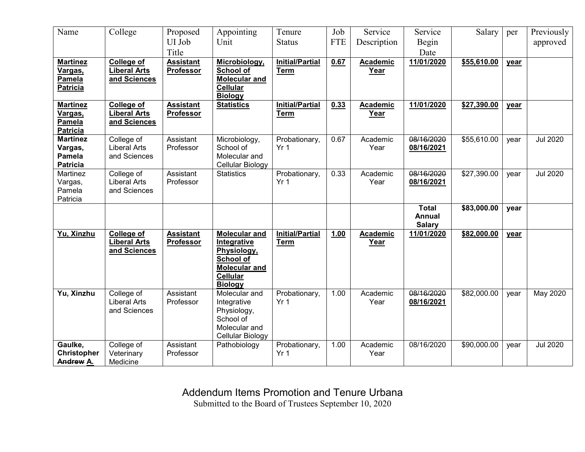| Name                               | College                           | Proposed         | Appointing                        | Tenure                           | Job        | Service         | Service       | Salary      | per  | Previously      |
|------------------------------------|-----------------------------------|------------------|-----------------------------------|----------------------------------|------------|-----------------|---------------|-------------|------|-----------------|
|                                    |                                   | UI Job           | Unit                              | <b>Status</b>                    | <b>FTE</b> | Description     | Begin         |             |      | approved        |
|                                    |                                   | Title            |                                   |                                  |            |                 | Date          |             |      |                 |
| <b>Martinez</b>                    | <b>College of</b>                 | <b>Assistant</b> | Microbiology,                     | <b>Initial/Partial</b>           | 0.67       | <b>Academic</b> | 11/01/2020    | \$55,610.00 | year |                 |
| Vargas,                            | <b>Liberal Arts</b>               | Professor        | School of                         | <b>Term</b>                      |            | Year            |               |             |      |                 |
| Pamela                             | and Sciences                      |                  | Molecular and                     |                                  |            |                 |               |             |      |                 |
| <b>Patricia</b>                    |                                   |                  | <b>Cellular</b><br><b>Biology</b> |                                  |            |                 |               |             |      |                 |
| <b>Martinez</b>                    | College of                        | <b>Assistant</b> | <b>Statistics</b>                 | <b>Initial/Partial</b>           | 0.33       | Academic        | 11/01/2020    | \$27,390.00 | year |                 |
| Vargas,                            | <b>Liberal Arts</b>               | Professor        |                                   | <b>Term</b>                      |            | Year            |               |             |      |                 |
| Pamela                             | and Sciences                      |                  |                                   |                                  |            |                 |               |             |      |                 |
| <b>Patricia</b><br><b>Martinez</b> |                                   | Assistant        |                                   |                                  | 0.67       | Academic        | 08/16/2020    | \$55,610.00 |      | <b>Jul 2020</b> |
| Vargas,                            | College of<br><b>Liberal Arts</b> | Professor        | Microbiology,<br>School of        | Probationary,<br>Yr <sub>1</sub> |            | Year            | 08/16/2021    |             | year |                 |
| Pamela                             | and Sciences                      |                  | Molecular and                     |                                  |            |                 |               |             |      |                 |
| <b>Patricia</b>                    |                                   |                  | Cellular Biology                  |                                  |            |                 |               |             |      |                 |
| Martinez                           | College of                        | Assistant        | <b>Statistics</b>                 | Probationary,                    | 0.33       | Academic        | 08/16/2020    | \$27,390.00 | year | <b>Jul 2020</b> |
| Vargas,                            | <b>Liberal Arts</b>               | Professor        |                                   | Yr <sub>1</sub>                  |            | Year            | 08/16/2021    |             |      |                 |
| Pamela<br>Patricia                 | and Sciences                      |                  |                                   |                                  |            |                 |               |             |      |                 |
|                                    |                                   |                  |                                   |                                  |            |                 | <b>Total</b>  | \$83,000.00 | year |                 |
|                                    |                                   |                  |                                   |                                  |            |                 | <b>Annual</b> |             |      |                 |
|                                    |                                   |                  |                                   |                                  |            |                 | <b>Salary</b> |             |      |                 |
| Yu, Xinzhu                         | <b>College of</b>                 | <b>Assistant</b> | <b>Molecular and</b>              | <b>Initial/Partial</b>           | 1.00       | Academic        | 11/01/2020    | \$82,000.00 | year |                 |
|                                    | <b>Liberal Arts</b>               | Professor        | Integrative                       | <b>Term</b>                      |            | Year            |               |             |      |                 |
|                                    | and Sciences                      |                  | Physiology,<br><b>School of</b>   |                                  |            |                 |               |             |      |                 |
|                                    |                                   |                  | <b>Molecular and</b>              |                                  |            |                 |               |             |      |                 |
|                                    |                                   |                  | Cellular                          |                                  |            |                 |               |             |      |                 |
|                                    |                                   |                  | <b>Biology</b>                    |                                  |            |                 |               |             |      |                 |
| Yu, Xinzhu                         | College of                        | Assistant        | Molecular and                     | Probationary,                    | 1.00       | Academic        | 08/16/2020    | \$82,000.00 | vear | May 2020        |
|                                    | <b>Liberal Arts</b>               | Professor        | Integrative                       | Yr <sub>1</sub>                  |            | Year            | 08/16/2021    |             |      |                 |
|                                    | and Sciences                      |                  | Physiology,<br>School of          |                                  |            |                 |               |             |      |                 |
|                                    |                                   |                  | Molecular and                     |                                  |            |                 |               |             |      |                 |
|                                    |                                   |                  | Cellular Biology                  |                                  |            |                 |               |             |      |                 |
| Gaulke,                            | College of                        | Assistant        | Pathobiology                      | Probationary,                    | 1.00       | Academic        | 08/16/2020    | \$90,000.00 | year | <b>Jul 2020</b> |
| <b>Christopher</b>                 | Veterinary                        | Professor        |                                   | Yr <sub>1</sub>                  |            | Year            |               |             |      |                 |
| <b>Andrew A.</b>                   | Medicine                          |                  |                                   |                                  |            |                 |               |             |      |                 |

Addendum Items Promotion and Tenure Urbana

Submitted to the Board of Trustees September 10, 2020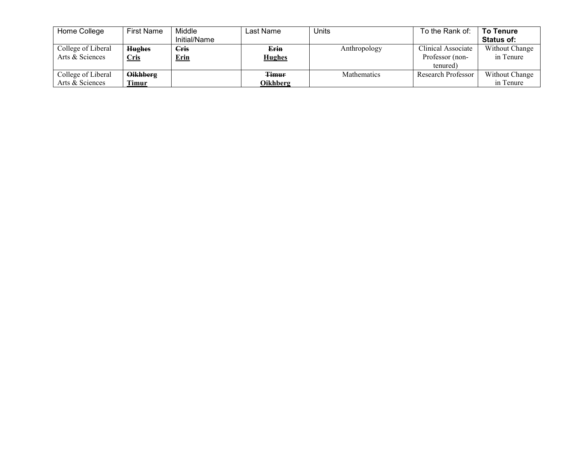| Home College       | <b>First Name</b> | Middle       | Last Name     | Units        | To the Rank of:    | <b>To Tenure</b>  |
|--------------------|-------------------|--------------|---------------|--------------|--------------------|-------------------|
|                    |                   | Initial/Name |               |              |                    | <b>Status of:</b> |
| College of Liberal | <b>Hughes</b>     | <b>Cris</b>  | Erin          | Anthropology | Clinical Associate | Without Change    |
| Arts & Sciences    | <u>Cris</u>       | <b>Erin</b>  | <b>Hughes</b> |              | Professor (non-    | in Tenure         |
|                    |                   |              |               |              | tenured)           |                   |
| College of Liberal | <b>Oikhberg</b>   |              | <b>Timur</b>  | Mathematics  | Research Professor | Without Change    |
| Arts & Sciences    | <b>Timur</b>      |              | Oikhberg      |              |                    | in Tenure         |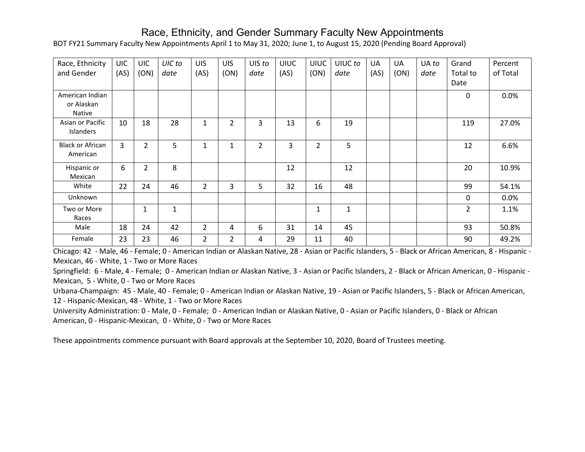### Race, Ethnicity, and Gender Summary Faculty New Appointments

BOT FY21 Summary Faculty New Appointments April 1 to May 31, 2020; June 1, to August 15, 2020 (Pending Board Approval)

| Race, Ethnicity                         | <b>UIC</b> | <b>UIC</b>     | UIC to | <b>UIS</b>     | <b>UIS</b>     | UIS to         | UIUC | <b>UIUC</b>    | UIUC to | UA   | <b>UA</b> | UA to | Grand            | Percent  |
|-----------------------------------------|------------|----------------|--------|----------------|----------------|----------------|------|----------------|---------|------|-----------|-------|------------------|----------|
| and Gender                              | (AS)       | (ON)           | date   | (AS)           | (ON)           | date           | (AS) | (ON)           | date    | (AS) | (ON)      | date  | Total to<br>Date | of Total |
| American Indian<br>or Alaskan<br>Native |            |                |        |                |                |                |      |                |         |      |           |       | $\mathbf{0}$     | 0.0%     |
| Asian or Pacific<br>Islanders           | 10         | 18             | 28     | 1              | 2              | 3              | 13   | 6              | 19      |      |           |       | 119              | 27.0%    |
| <b>Black or African</b><br>American     | 3          | $\overline{2}$ | 5      | 1              | 1              | $\overline{2}$ | 3    | $\overline{2}$ | 5       |      |           |       | 12               | 6.6%     |
| Hispanic or<br>Mexican                  | 6          | $\overline{2}$ | 8      |                |                |                | 12   |                | 12      |      |           |       | 20               | 10.9%    |
| White                                   | 22         | 24             | 46     | $\overline{2}$ | 3              | 5              | 32   | 16             | 48      |      |           |       | 99               | 54.1%    |
| Unknown                                 |            |                |        |                |                |                |      |                |         |      |           |       | 0                | 0.0%     |
| Two or More<br>Races                    |            | 1              | 1      |                |                |                |      | $\mathbf{1}$   | 1       |      |           |       | $\overline{2}$   | 1.1%     |
| Male                                    | 18         | 24             | 42     | $\overline{2}$ | 4              | 6              | 31   | 14             | 45      |      |           |       | 93               | 50.8%    |
| Female                                  | 23         | 23             | 46     | $\overline{2}$ | $\overline{2}$ | 4              | 29   | 11             | 40      |      |           |       | 90               | 49.2%    |

Chicago: 42 - Male, 46 - Female; 0 - American Indian or Alaskan Native, 28 - Asian or Pacific Islanders, 5 - Black or African American, 8 - Hispanic - Mexican, 46 - White, 1 - Two or More Races

Springfield: 6 - Male, 4 - Female; 0 - American Indian or Alaskan Native, 3 - Asian or Pacific Islanders, 2 - Black or African American, 0 - Hispanic - Mexican, 5 - White, 0 - Two or More Races

Urbana-Champaign: 45 - Male, 40 - Female; 0 - American Indian or Alaskan Native, 19 - Asian or Pacific Islanders, 5 - Black or African American, 12 - Hispanic-Mexican, 48 - White, 1 - Two or More Races

University Administration: 0 - Male, 0 - Female; 0 - American Indian or Alaskan Native, 0 - Asian or Pacific Islanders, 0 - Black or African American, 0 - Hispanic-Mexican, 0 - White, 0 - Two or More Races

These appointments commence pursuant with Board approvals at the September 10, 2020, Board of Trustees meeting.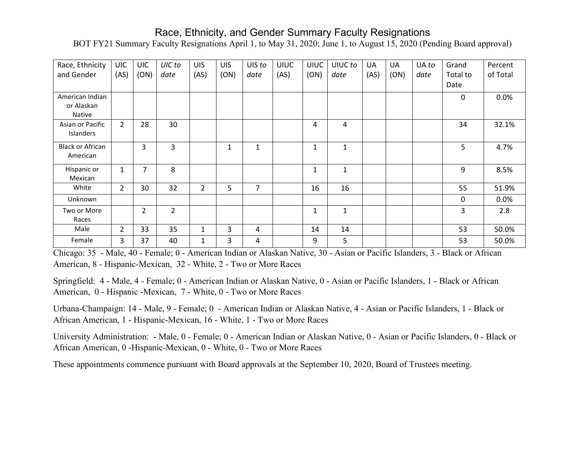## Race, Ethnicity, and Gender Summary Faculty Resignations

BOT FY21 Summary Faculty Resignations April 1, to May 31, 2020; June 1, to August 15, 2020 (Pending Board approval)

| Race, Ethnicity         | <b>UIC</b>     | <b>UIC</b>     | UIC to         | <b>UIS</b>     | <b>UIS</b> | UIS to         | <b>UIUC</b> | <b>UIUC</b>  | UIUC to      | <b>UA</b> | UA   | UA to | Grand        | Percent  |
|-------------------------|----------------|----------------|----------------|----------------|------------|----------------|-------------|--------------|--------------|-----------|------|-------|--------------|----------|
| and Gender              | (AS)           | (ON)           | date           | (AS)           | (ON)       | date           | (AS)        | (ON)         | date         | (AS)      | (ON) | date  | Total to     | of Total |
|                         |                |                |                |                |            |                |             |              |              |           |      |       | Date         |          |
| American Indian         |                |                |                |                |            |                |             |              |              |           |      |       | $\mathbf{0}$ | 0.0%     |
| or Alaskan              |                |                |                |                |            |                |             |              |              |           |      |       |              |          |
| <b>Native</b>           |                |                |                |                |            |                |             |              |              |           |      |       |              |          |
| Asian or Pacific        | $\overline{2}$ | 28             | 30             |                |            |                |             | 4            | 4            |           |      |       | 34           | 32.1%    |
| Islanders               |                |                |                |                |            |                |             |              |              |           |      |       |              |          |
| <b>Black or African</b> |                | 3              | 3              |                | 1          | $\mathbf{1}$   |             | $\mathbf{1}$ | 1            |           |      |       | 5            | 4.7%     |
| American                |                |                |                |                |            |                |             |              |              |           |      |       |              |          |
| Hispanic or             | $\mathbf{1}$   | $\overline{7}$ | 8              |                |            |                |             | 1            | $\mathbf{1}$ |           |      |       | 9            | 8.5%     |
| Mexican                 |                |                |                |                |            |                |             |              |              |           |      |       |              |          |
| White                   | $\overline{2}$ | 30             | 32             | $\overline{2}$ | 5          | $\overline{7}$ |             | 16           | 16           |           |      |       | 55           | 51.9%    |
| Unknown                 |                |                |                |                |            |                |             |              |              |           |      |       | 0            | 0.0%     |
| Two or More             |                | $\overline{2}$ | $\overline{2}$ |                |            |                |             | 1            | $\mathbf{1}$ |           |      |       | 3            | 2.8      |
| Races                   |                |                |                |                |            |                |             |              |              |           |      |       |              |          |
| Male                    | $\overline{2}$ | 33             | 35             | $\mathbf 1$    | 3          | 4              |             | 14           | 14           |           |      |       | 53           | 50.0%    |
| Female                  | 3              | 37             | 40             | $\mathbf 1$    | 3          | 4              |             | 9            | 5            |           |      |       | 53           | 50.0%    |

Chicago: 35 - Male, 40 - Female; 0 - American Indian or Alaskan Native, 30 - Asian or Pacific Islanders, 3 - Black or African American, 8 - Hispanic-Mexican, 32 - White, 2 - Two or More Races

Springfield: 4 - Male, 4 - Female; 0 - American Indian or Alaskan Native, 0 - Asian or Pacific Islanders, 1 - Black or African American, 0 - Hispanic -Mexican, 7 - White, 0 - Two or More Races

Urbana-Champaign: 14 - Male, 9 - Female; 0 - American Indian or Alaskan Native, 4 - Asian or Pacific Islanders, 1 - Black or African American, 1 - Hispanic-Mexican, 16 - White, 1 - Two or More Races

University Administration: - Male, 0 - Female; 0 - American Indian or Alaskan Native, 0 - Asian or Pacific Islanders, 0 - Black or African American, 0 -Hispanic-Mexican, 0 - White, 0 - Two or More Races

These appointments commence pursuant with Board approvals at the September 10, 2020, Board of Trustees meeting.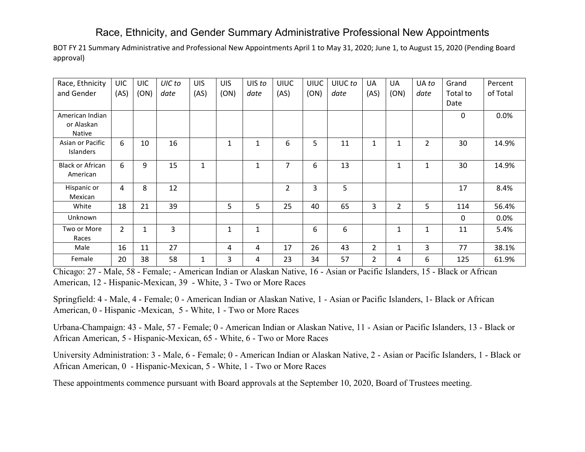## Race, Ethnicity, and Gender Summary Administrative Professional New Appointments

BOT FY 21 Summary Administrative and Professional New Appointments April 1 to May 31, 2020; June 1, to August 15, 2020 (Pending Board approval)

| Race, Ethnicity         | <b>UIC</b>     | <b>UIC</b>   | UIC to | <b>UIS</b> | <b>UIS</b> | UIS to       | <b>UIUC</b>    | <b>UIUC</b> | UIUC to | <b>UA</b>      | UA             | UA to        | Grand        | Percent  |
|-------------------------|----------------|--------------|--------|------------|------------|--------------|----------------|-------------|---------|----------------|----------------|--------------|--------------|----------|
| and Gender              | (AS)           | (ON)         | date   | (AS)       | (ON)       | date         | (AS)           | (ON)        | date    | (AS)           | (ON)           | date         | Total to     | of Total |
|                         |                |              |        |            |            |              |                |             |         |                |                |              | Date         |          |
| American Indian         |                |              |        |            |            |              |                |             |         |                |                |              | 0            | 0.0%     |
| or Alaskan              |                |              |        |            |            |              |                |             |         |                |                |              |              |          |
| <b>Native</b>           |                |              |        |            |            |              |                |             |         |                |                |              |              |          |
| Asian or Pacific        | 6              | 10           | 16     |            | 1          | 1            | 6              | 5           | 11      | 1              | $\mathbf{1}$   | 2            | 30           | 14.9%    |
| <b>Islanders</b>        |                |              |        |            |            |              |                |             |         |                |                |              |              |          |
| <b>Black or African</b> | 6              | 9            | 15     | 1          |            | $\mathbf{1}$ | $\overline{7}$ | 6           | 13      |                | $\mathbf{1}$   | $\mathbf{1}$ | 30           | 14.9%    |
| American                |                |              |        |            |            |              |                |             |         |                |                |              |              |          |
| Hispanic or             | 4              | 8            | 12     |            |            |              | $\overline{2}$ | 3           | 5       |                |                |              | 17           | 8.4%     |
| Mexican                 |                |              |        |            |            |              |                |             |         |                |                |              |              |          |
| White                   | 18             | 21           | 39     |            | 5          | 5            | 25             | 40          | 65      | 3              | $\overline{2}$ | 5            | 114          | 56.4%    |
| Unknown                 |                |              |        |            |            |              |                |             |         |                |                |              | $\mathbf{0}$ | 0.0%     |
| Two or More             | $\overline{2}$ | $\mathbf{1}$ | 3      |            | 1          | $\mathbf{1}$ |                | 6           | 6       |                | $\mathbf{1}$   | 1            | 11           | 5.4%     |
| Races                   |                |              |        |            |            |              |                |             |         |                |                |              |              |          |
| Male                    | 16             | 11           | 27     |            | 4          | 4            | 17             | 26          | 43      | $\overline{2}$ | $\mathbf{1}$   | 3            | 77           | 38.1%    |
| Female                  | 20             | 38           | 58     | 1          | 3          | 4            | 23             | 34          | 57      | 2              | 4              | 6            | 125          | 61.9%    |

Chicago: 27 - Male, 58 - Female; - American Indian or Alaskan Native, 16 - Asian or Pacific Islanders, 15 - Black or African American, 12 - Hispanic-Mexican, 39 - White, 3 - Two or More Races

Springfield: 4 - Male, 4 - Female; 0 - American Indian or Alaskan Native, 1 - Asian or Pacific Islanders, 1- Black or African American, 0 - Hispanic -Mexican, 5 - White, 1 - Two or More Races

Urbana-Champaign: 43 - Male, 57 - Female; 0 - American Indian or Alaskan Native, 11 - Asian or Pacific Islanders, 13 - Black or African American, 5 - Hispanic-Mexican, 65 - White, 6 - Two or More Races

University Administration: 3 - Male, 6 - Female; 0 - American Indian or Alaskan Native, 2 - Asian or Pacific Islanders, 1 - Black or African American, 0 - Hispanic-Mexican, 5 - White, 1 - Two or More Races

These appointments commence pursuant with Board approvals at the September 10, 2020, Board of Trustees meeting.